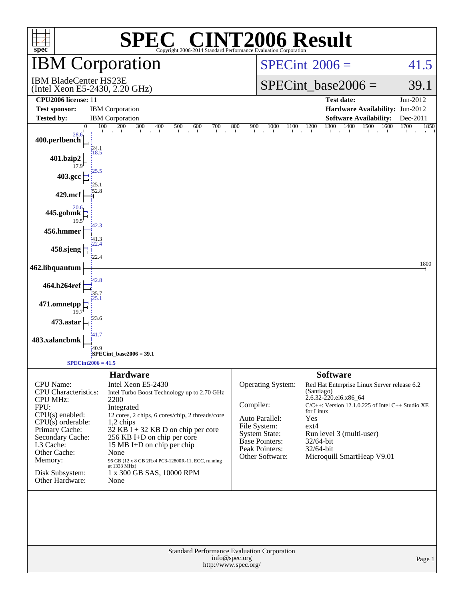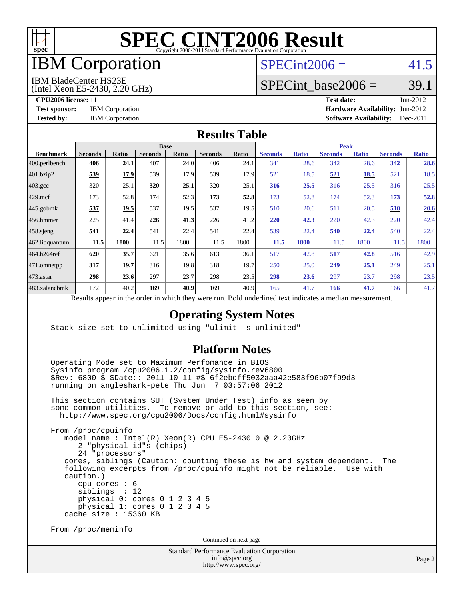

# IBM Corporation

## $SPECint2006 = 41.5$  $SPECint2006 = 41.5$

#### IBM BladeCenter HS23E

(Intel Xeon E5-2430, 2.20 GHz)

SPECint base2006 =  $39.1$ 

**[CPU2006 license:](http://www.spec.org/auto/cpu2006/Docs/result-fields.html#CPU2006license)** 11 **[Test date:](http://www.spec.org/auto/cpu2006/Docs/result-fields.html#Testdate)** Jun-2012 **[Test sponsor:](http://www.spec.org/auto/cpu2006/Docs/result-fields.html#Testsponsor)** IBM Corporation **IBM** Corporation **[Hardware Availability:](http://www.spec.org/auto/cpu2006/Docs/result-fields.html#HardwareAvailability)** Jun-2012 **[Tested by:](http://www.spec.org/auto/cpu2006/Docs/result-fields.html#Testedby)** IBM Corporation **[Software Availability:](http://www.spec.org/auto/cpu2006/Docs/result-fields.html#SoftwareAvailability)** Dec-2011

### **[Results Table](http://www.spec.org/auto/cpu2006/Docs/result-fields.html#ResultsTable)**

|                                                                                                                 | <b>Base</b>    |             |                |       |                |       | <b>Peak</b>    |              |                |              |                |              |
|-----------------------------------------------------------------------------------------------------------------|----------------|-------------|----------------|-------|----------------|-------|----------------|--------------|----------------|--------------|----------------|--------------|
| <b>Benchmark</b>                                                                                                | <b>Seconds</b> | Ratio       | <b>Seconds</b> | Ratio | <b>Seconds</b> | Ratio | <b>Seconds</b> | <b>Ratio</b> | <b>Seconds</b> | <b>Ratio</b> | <b>Seconds</b> | <b>Ratio</b> |
| 400.perlbench                                                                                                   | 406            | <u>24.1</u> | 407            | 24.0  | 406            | 24.1  | 341            | 28.6         | 342            | 28.6         | 342            | 28.6         |
| 401.bzip2                                                                                                       | 539            | 17.9        | 539            | 17.9  | 539            | 17.9  | 521            | 18.5         | <u>521</u>     | 18.5         | 521            | 18.5         |
| $403.\mathrm{gcc}$                                                                                              | 320            | 25.1        | 320            | 25.1  | 320            | 25.1  | 316            | 25.5         | 316            | 25.5         | 316            | 25.5         |
| $429$ .mcf                                                                                                      | 173            | 52.8        | 174            | 52.3  | <u>173</u>     | 52.8  | 173            | 52.8         | 174            | 52.3         | 173            | 52.8         |
| $445$ .gobmk                                                                                                    | 537            | 19.5        | 537            | 19.5  | 537            | 19.5  | 510            | 20.6         | 511            | 20.5         | 510            | 20.6         |
| $456.$ hmmer                                                                                                    | 225            | 41.4        | 226            | 41.3  | 226            | 41.2  | 220            | 42.3         | 220            | 42.3         | 220            | 42.4         |
| $458$ .sjeng                                                                                                    | 541            | 22.4        | 541            | 22.4  | 541            | 22.4  | 539            | 22.4         | 540            | 22.4         | 540            | 22.4         |
| 462.libquantum                                                                                                  | 11.5           | 1800        | 11.5           | 1800  | 11.5           | 1800  | 11.5           | 1800         | 11.5           | 1800         | 11.5           | 1800         |
| 464.h264ref                                                                                                     | 620            | 35.7        | 621            | 35.6  | 613            | 36.1  | 517            | 42.8         | 517            | 42.8         | 516            | 42.9         |
| 471.omnetpp                                                                                                     | 317            | 19.7        | 316            | 19.8  | 318            | 19.7  | 250            | 25.0         | 249            | 25.1         | 249            | 25.1         |
| $473.$ astar                                                                                                    | 298            | 23.6        | 297            | 23.7  | 298            | 23.5  | 298            | 23.6         | 297            | 23.7         | 298            | 23.5         |
| 483.xalancbmk                                                                                                   | 172            | 40.2        | 169            | 40.9  | 169            | 40.9  | 165            | 41.7         | 166            | 41.7         | 166            | 41.7         |
| D.<br>$\mathbf{1}$<br>1.1.1<br>$\cdot$ $\cdot$ $\cdot$ $\cdot$<br>$\cdot$<br>T11<br>$1 \quad 1$<br>$\mathbf{1}$ |                |             |                |       |                |       |                |              |                |              |                |              |

Results appear in the [order in which they were run.](http://www.spec.org/auto/cpu2006/Docs/result-fields.html#RunOrder) Bold underlined text [indicates a median measurement.](http://www.spec.org/auto/cpu2006/Docs/result-fields.html#Median)

### **[Operating System Notes](http://www.spec.org/auto/cpu2006/Docs/result-fields.html#OperatingSystemNotes)**

Stack size set to unlimited using "ulimit -s unlimited"

#### **[Platform Notes](http://www.spec.org/auto/cpu2006/Docs/result-fields.html#PlatformNotes)**

 Operating Mode set to Maximum Perfomance in BIOS Sysinfo program /cpu2006.1.2/config/sysinfo.rev6800 \$Rev: 6800 \$ \$Date:: 2011-10-11 #\$ 6f2ebdff5032aaa42e583f96b07f99d3 running on angleshark-pete Thu Jun 7 03:57:06 2012

 This section contains SUT (System Under Test) info as seen by some common utilities. To remove or add to this section, see: <http://www.spec.org/cpu2006/Docs/config.html#sysinfo>

 From /proc/cpuinfo model name : Intel(R) Xeon(R) CPU E5-2430 0 @ 2.20GHz 2 "physical id"s (chips) 24 "processors" cores, siblings (Caution: counting these is hw and system dependent. The following excerpts from /proc/cpuinfo might not be reliable. Use with caution.) cpu cores : 6 siblings : 12 physical 0: cores 0 1 2 3 4 5 physical 1: cores 0 1 2 3 4 5 cache size : 15360 KB

From /proc/meminfo

Continued on next page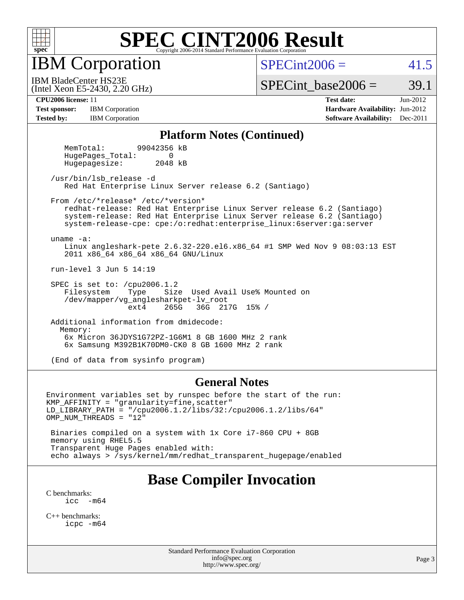

IBM Corporation

 $SPECint2006 = 41.5$  $SPECint2006 = 41.5$ 

(Intel Xeon E5-2430, 2.20 GHz) IBM BladeCenter HS23E

SPECint base2006 =  $39.1$ 

**[Test sponsor:](http://www.spec.org/auto/cpu2006/Docs/result-fields.html#Testsponsor)** IBM Corporation **IBM** Corporation **[Hardware Availability:](http://www.spec.org/auto/cpu2006/Docs/result-fields.html#HardwareAvailability)** Jun-2012

**[CPU2006 license:](http://www.spec.org/auto/cpu2006/Docs/result-fields.html#CPU2006license)** 11 **[Test date:](http://www.spec.org/auto/cpu2006/Docs/result-fields.html#Testdate)** Jun-2012 **[Tested by:](http://www.spec.org/auto/cpu2006/Docs/result-fields.html#Testedby)** IBM Corporation **[Software Availability:](http://www.spec.org/auto/cpu2006/Docs/result-fields.html#SoftwareAvailability)** Dec-2011

#### **[Platform Notes \(Continued\)](http://www.spec.org/auto/cpu2006/Docs/result-fields.html#PlatformNotes)**

 MemTotal: 99042356 kB HugePages\_Total: 0 Hugepagesize: 2048 kB

 /usr/bin/lsb\_release -d Red Hat Enterprise Linux Server release 6.2 (Santiago)

From /etc/\*release\* /etc/\*version\*

 redhat-release: Red Hat Enterprise Linux Server release 6.2 (Santiago) system-release: Red Hat Enterprise Linux Server release 6.2 (Santiago) system-release-cpe: cpe:/o:redhat:enterprise\_linux:6server:ga:server

uname -a:

 Linux angleshark-pete 2.6.32-220.el6.x86\_64 #1 SMP Wed Nov 9 08:03:13 EST 2011 x86\_64 x86\_64 x86\_64 GNU/Linux

run-level 3 Jun 5 14:19

SPEC is set to: /cpu2006.1.2<br>Filesystem Type Size Size Used Avail Use% Mounted on /dev/mapper/vg\_anglesharkpet-lv\_root ext4 265G 36G 217G 15% /

 Additional information from dmidecode: Memory: 6x Micron 36JDYS1G72PZ-1G6M1 8 GB 1600 MHz 2 rank 6x Samsung M392B1K70DM0-CK0 8 GB 1600 MHz 2 rank

(End of data from sysinfo program)

#### **[General Notes](http://www.spec.org/auto/cpu2006/Docs/result-fields.html#GeneralNotes)**

Environment variables set by runspec before the start of the run: KMP\_AFFINITY = "granularity=fine,scatter" LD\_LIBRARY\_PATH = "/cpu2006.1.2/libs/32:/cpu2006.1.2/libs/64" OMP NUM THREADS = "12"

 Binaries compiled on a system with 1x Core i7-860 CPU + 8GB memory using RHEL5.5 Transparent Huge Pages enabled with: echo always > /sys/kernel/mm/redhat\_transparent\_hugepage/enabled

# **[Base Compiler Invocation](http://www.spec.org/auto/cpu2006/Docs/result-fields.html#BaseCompilerInvocation)**

[C benchmarks](http://www.spec.org/auto/cpu2006/Docs/result-fields.html#Cbenchmarks): [icc -m64](http://www.spec.org/cpu2006/results/res2012q3/cpu2006-20120618-23009.flags.html#user_CCbase_intel_icc_64bit_f346026e86af2a669e726fe758c88044)

[C++ benchmarks:](http://www.spec.org/auto/cpu2006/Docs/result-fields.html#CXXbenchmarks) [icpc -m64](http://www.spec.org/cpu2006/results/res2012q3/cpu2006-20120618-23009.flags.html#user_CXXbase_intel_icpc_64bit_fc66a5337ce925472a5c54ad6a0de310)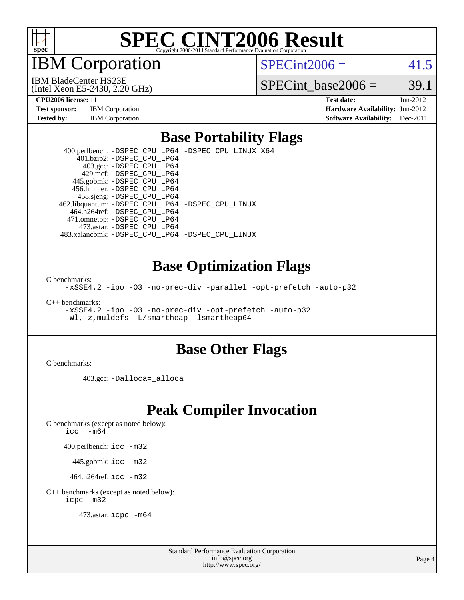

IBM Corporation

 $SPECint2006 = 41.5$  $SPECint2006 = 41.5$ 

(Intel Xeon E5-2430, 2.20 GHz) IBM BladeCenter HS23E

SPECint base2006 =  $39.1$ 

| <b>Test sponsor:</b> | <b>IBM</b> Corporation |
|----------------------|------------------------|
| <b>Tested by:</b>    | <b>IBM</b> Corporation |

**[CPU2006 license:](http://www.spec.org/auto/cpu2006/Docs/result-fields.html#CPU2006license)** 11 **[Test date:](http://www.spec.org/auto/cpu2006/Docs/result-fields.html#Testdate)** Jun-2012 **[Hardware Availability:](http://www.spec.org/auto/cpu2006/Docs/result-fields.html#HardwareAvailability)** Jun-2012 **[Software Availability:](http://www.spec.org/auto/cpu2006/Docs/result-fields.html#SoftwareAvailability)** Dec-2011

### **[Base Portability Flags](http://www.spec.org/auto/cpu2006/Docs/result-fields.html#BasePortabilityFlags)**

 400.perlbench: [-DSPEC\\_CPU\\_LP64](http://www.spec.org/cpu2006/results/res2012q3/cpu2006-20120618-23009.flags.html#b400.perlbench_basePORTABILITY_DSPEC_CPU_LP64) [-DSPEC\\_CPU\\_LINUX\\_X64](http://www.spec.org/cpu2006/results/res2012q3/cpu2006-20120618-23009.flags.html#b400.perlbench_baseCPORTABILITY_DSPEC_CPU_LINUX_X64) 401.bzip2: [-DSPEC\\_CPU\\_LP64](http://www.spec.org/cpu2006/results/res2012q3/cpu2006-20120618-23009.flags.html#suite_basePORTABILITY401_bzip2_DSPEC_CPU_LP64) 403.gcc: [-DSPEC\\_CPU\\_LP64](http://www.spec.org/cpu2006/results/res2012q3/cpu2006-20120618-23009.flags.html#suite_basePORTABILITY403_gcc_DSPEC_CPU_LP64) 429.mcf: [-DSPEC\\_CPU\\_LP64](http://www.spec.org/cpu2006/results/res2012q3/cpu2006-20120618-23009.flags.html#suite_basePORTABILITY429_mcf_DSPEC_CPU_LP64) 445.gobmk: [-DSPEC\\_CPU\\_LP64](http://www.spec.org/cpu2006/results/res2012q3/cpu2006-20120618-23009.flags.html#suite_basePORTABILITY445_gobmk_DSPEC_CPU_LP64) 456.hmmer: [-DSPEC\\_CPU\\_LP64](http://www.spec.org/cpu2006/results/res2012q3/cpu2006-20120618-23009.flags.html#suite_basePORTABILITY456_hmmer_DSPEC_CPU_LP64) 458.sjeng: [-DSPEC\\_CPU\\_LP64](http://www.spec.org/cpu2006/results/res2012q3/cpu2006-20120618-23009.flags.html#suite_basePORTABILITY458_sjeng_DSPEC_CPU_LP64) 462.libquantum: [-DSPEC\\_CPU\\_LP64](http://www.spec.org/cpu2006/results/res2012q3/cpu2006-20120618-23009.flags.html#suite_basePORTABILITY462_libquantum_DSPEC_CPU_LP64) [-DSPEC\\_CPU\\_LINUX](http://www.spec.org/cpu2006/results/res2012q3/cpu2006-20120618-23009.flags.html#b462.libquantum_baseCPORTABILITY_DSPEC_CPU_LINUX) 464.h264ref: [-DSPEC\\_CPU\\_LP64](http://www.spec.org/cpu2006/results/res2012q3/cpu2006-20120618-23009.flags.html#suite_basePORTABILITY464_h264ref_DSPEC_CPU_LP64) 471.omnetpp: [-DSPEC\\_CPU\\_LP64](http://www.spec.org/cpu2006/results/res2012q3/cpu2006-20120618-23009.flags.html#suite_basePORTABILITY471_omnetpp_DSPEC_CPU_LP64) 473.astar: [-DSPEC\\_CPU\\_LP64](http://www.spec.org/cpu2006/results/res2012q3/cpu2006-20120618-23009.flags.html#suite_basePORTABILITY473_astar_DSPEC_CPU_LP64) 483.xalancbmk: [-DSPEC\\_CPU\\_LP64](http://www.spec.org/cpu2006/results/res2012q3/cpu2006-20120618-23009.flags.html#suite_basePORTABILITY483_xalancbmk_DSPEC_CPU_LP64) [-DSPEC\\_CPU\\_LINUX](http://www.spec.org/cpu2006/results/res2012q3/cpu2006-20120618-23009.flags.html#b483.xalancbmk_baseCXXPORTABILITY_DSPEC_CPU_LINUX)

### **[Base Optimization Flags](http://www.spec.org/auto/cpu2006/Docs/result-fields.html#BaseOptimizationFlags)**

[C benchmarks](http://www.spec.org/auto/cpu2006/Docs/result-fields.html#Cbenchmarks):

[-xSSE4.2](http://www.spec.org/cpu2006/results/res2012q3/cpu2006-20120618-23009.flags.html#user_CCbase_f-xSSE42_f91528193cf0b216347adb8b939d4107) [-ipo](http://www.spec.org/cpu2006/results/res2012q3/cpu2006-20120618-23009.flags.html#user_CCbase_f-ipo) [-O3](http://www.spec.org/cpu2006/results/res2012q3/cpu2006-20120618-23009.flags.html#user_CCbase_f-O3) [-no-prec-div](http://www.spec.org/cpu2006/results/res2012q3/cpu2006-20120618-23009.flags.html#user_CCbase_f-no-prec-div) [-parallel](http://www.spec.org/cpu2006/results/res2012q3/cpu2006-20120618-23009.flags.html#user_CCbase_f-parallel) [-opt-prefetch](http://www.spec.org/cpu2006/results/res2012q3/cpu2006-20120618-23009.flags.html#user_CCbase_f-opt-prefetch) [-auto-p32](http://www.spec.org/cpu2006/results/res2012q3/cpu2006-20120618-23009.flags.html#user_CCbase_f-auto-p32)

[C++ benchmarks:](http://www.spec.org/auto/cpu2006/Docs/result-fields.html#CXXbenchmarks)

[-xSSE4.2](http://www.spec.org/cpu2006/results/res2012q3/cpu2006-20120618-23009.flags.html#user_CXXbase_f-xSSE42_f91528193cf0b216347adb8b939d4107) [-ipo](http://www.spec.org/cpu2006/results/res2012q3/cpu2006-20120618-23009.flags.html#user_CXXbase_f-ipo) [-O3](http://www.spec.org/cpu2006/results/res2012q3/cpu2006-20120618-23009.flags.html#user_CXXbase_f-O3) [-no-prec-div](http://www.spec.org/cpu2006/results/res2012q3/cpu2006-20120618-23009.flags.html#user_CXXbase_f-no-prec-div) [-opt-prefetch](http://www.spec.org/cpu2006/results/res2012q3/cpu2006-20120618-23009.flags.html#user_CXXbase_f-opt-prefetch) [-auto-p32](http://www.spec.org/cpu2006/results/res2012q3/cpu2006-20120618-23009.flags.html#user_CXXbase_f-auto-p32) [-Wl,-z,muldefs](http://www.spec.org/cpu2006/results/res2012q3/cpu2006-20120618-23009.flags.html#user_CXXbase_link_force_multiple1_74079c344b956b9658436fd1b6dd3a8a) [-L/smartheap -lsmartheap64](http://www.spec.org/cpu2006/results/res2012q3/cpu2006-20120618-23009.flags.html#user_CXXbase_SmartHeap64_5e654037dadeae1fe403ab4b4466e60b)

### **[Base Other Flags](http://www.spec.org/auto/cpu2006/Docs/result-fields.html#BaseOtherFlags)**

[C benchmarks](http://www.spec.org/auto/cpu2006/Docs/result-fields.html#Cbenchmarks):

403.gcc: [-Dalloca=\\_alloca](http://www.spec.org/cpu2006/results/res2012q3/cpu2006-20120618-23009.flags.html#b403.gcc_baseEXTRA_CFLAGS_Dalloca_be3056838c12de2578596ca5467af7f3)

# **[Peak Compiler Invocation](http://www.spec.org/auto/cpu2006/Docs/result-fields.html#PeakCompilerInvocation)**

[C benchmarks \(except as noted below\)](http://www.spec.org/auto/cpu2006/Docs/result-fields.html#Cbenchmarksexceptasnotedbelow):

[icc -m64](http://www.spec.org/cpu2006/results/res2012q3/cpu2006-20120618-23009.flags.html#user_CCpeak_intel_icc_64bit_f346026e86af2a669e726fe758c88044)

400.perlbench: [icc -m32](http://www.spec.org/cpu2006/results/res2012q3/cpu2006-20120618-23009.flags.html#user_peakCCLD400_perlbench_intel_icc_a6a621f8d50482236b970c6ac5f55f93)

445.gobmk: [icc -m32](http://www.spec.org/cpu2006/results/res2012q3/cpu2006-20120618-23009.flags.html#user_peakCCLD445_gobmk_intel_icc_a6a621f8d50482236b970c6ac5f55f93)

464.h264ref: [icc -m32](http://www.spec.org/cpu2006/results/res2012q3/cpu2006-20120618-23009.flags.html#user_peakCCLD464_h264ref_intel_icc_a6a621f8d50482236b970c6ac5f55f93)

[C++ benchmarks \(except as noted below\):](http://www.spec.org/auto/cpu2006/Docs/result-fields.html#CXXbenchmarksexceptasnotedbelow) [icpc -m32](http://www.spec.org/cpu2006/results/res2012q3/cpu2006-20120618-23009.flags.html#user_CXXpeak_intel_icpc_4e5a5ef1a53fd332b3c49e69c3330699)

473.astar: [icpc -m64](http://www.spec.org/cpu2006/results/res2012q3/cpu2006-20120618-23009.flags.html#user_peakCXXLD473_astar_intel_icpc_64bit_fc66a5337ce925472a5c54ad6a0de310)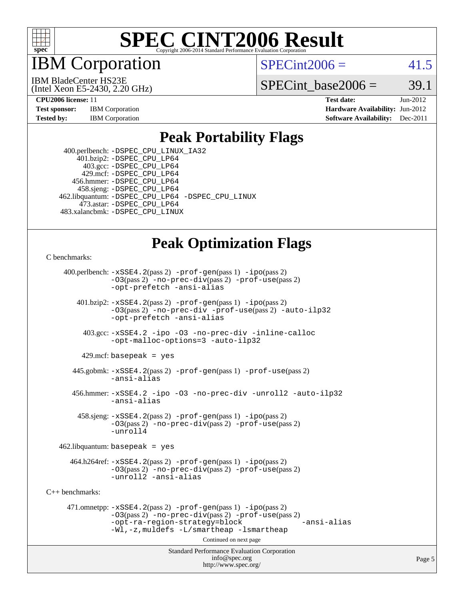

IBM Corporation

 $SPECint2006 = 41.5$  $SPECint2006 = 41.5$ 

(Intel Xeon E5-2430, 2.20 GHz) IBM BladeCenter HS23E

SPECint base2006 =  $39.1$ 

**[CPU2006 license:](http://www.spec.org/auto/cpu2006/Docs/result-fields.html#CPU2006license)** 11 **[Test date:](http://www.spec.org/auto/cpu2006/Docs/result-fields.html#Testdate)** Jun-2012 **[Test sponsor:](http://www.spec.org/auto/cpu2006/Docs/result-fields.html#Testsponsor)** IBM Corporation **[Hardware Availability:](http://www.spec.org/auto/cpu2006/Docs/result-fields.html#HardwareAvailability)** Jun-2012 **[Tested by:](http://www.spec.org/auto/cpu2006/Docs/result-fields.html#Testedby)** IBM Corporation **[Software Availability:](http://www.spec.org/auto/cpu2006/Docs/result-fields.html#SoftwareAvailability)** Dec-2011

### **[Peak Portability Flags](http://www.spec.org/auto/cpu2006/Docs/result-fields.html#PeakPortabilityFlags)**

 400.perlbench: [-DSPEC\\_CPU\\_LINUX\\_IA32](http://www.spec.org/cpu2006/results/res2012q3/cpu2006-20120618-23009.flags.html#b400.perlbench_peakCPORTABILITY_DSPEC_CPU_LINUX_IA32) 401.bzip2: [-DSPEC\\_CPU\\_LP64](http://www.spec.org/cpu2006/results/res2012q3/cpu2006-20120618-23009.flags.html#suite_peakPORTABILITY401_bzip2_DSPEC_CPU_LP64) 403.gcc: [-DSPEC\\_CPU\\_LP64](http://www.spec.org/cpu2006/results/res2012q3/cpu2006-20120618-23009.flags.html#suite_peakPORTABILITY403_gcc_DSPEC_CPU_LP64) 429.mcf: [-DSPEC\\_CPU\\_LP64](http://www.spec.org/cpu2006/results/res2012q3/cpu2006-20120618-23009.flags.html#suite_peakPORTABILITY429_mcf_DSPEC_CPU_LP64) 456.hmmer: [-DSPEC\\_CPU\\_LP64](http://www.spec.org/cpu2006/results/res2012q3/cpu2006-20120618-23009.flags.html#suite_peakPORTABILITY456_hmmer_DSPEC_CPU_LP64) 458.sjeng: [-DSPEC\\_CPU\\_LP64](http://www.spec.org/cpu2006/results/res2012q3/cpu2006-20120618-23009.flags.html#suite_peakPORTABILITY458_sjeng_DSPEC_CPU_LP64) 462.libquantum: [-DSPEC\\_CPU\\_LP64](http://www.spec.org/cpu2006/results/res2012q3/cpu2006-20120618-23009.flags.html#suite_peakPORTABILITY462_libquantum_DSPEC_CPU_LP64) [-DSPEC\\_CPU\\_LINUX](http://www.spec.org/cpu2006/results/res2012q3/cpu2006-20120618-23009.flags.html#b462.libquantum_peakCPORTABILITY_DSPEC_CPU_LINUX) 473.astar: [-DSPEC\\_CPU\\_LP64](http://www.spec.org/cpu2006/results/res2012q3/cpu2006-20120618-23009.flags.html#suite_peakPORTABILITY473_astar_DSPEC_CPU_LP64) 483.xalancbmk: [-DSPEC\\_CPU\\_LINUX](http://www.spec.org/cpu2006/results/res2012q3/cpu2006-20120618-23009.flags.html#b483.xalancbmk_peakCXXPORTABILITY_DSPEC_CPU_LINUX)

# **[Peak Optimization Flags](http://www.spec.org/auto/cpu2006/Docs/result-fields.html#PeakOptimizationFlags)**

[C benchmarks](http://www.spec.org/auto/cpu2006/Docs/result-fields.html#Cbenchmarks):

 400.perlbench: [-xSSE4.2](http://www.spec.org/cpu2006/results/res2012q3/cpu2006-20120618-23009.flags.html#user_peakPASS2_CFLAGSPASS2_LDCFLAGS400_perlbench_f-xSSE42_f91528193cf0b216347adb8b939d4107)(pass 2) [-prof-gen](http://www.spec.org/cpu2006/results/res2012q3/cpu2006-20120618-23009.flags.html#user_peakPASS1_CFLAGSPASS1_LDCFLAGS400_perlbench_prof_gen_e43856698f6ca7b7e442dfd80e94a8fc)(pass 1) [-ipo](http://www.spec.org/cpu2006/results/res2012q3/cpu2006-20120618-23009.flags.html#user_peakPASS2_CFLAGSPASS2_LDCFLAGS400_perlbench_f-ipo)(pass 2) [-O3](http://www.spec.org/cpu2006/results/res2012q3/cpu2006-20120618-23009.flags.html#user_peakPASS2_CFLAGSPASS2_LDCFLAGS400_perlbench_f-O3)(pass 2) [-no-prec-div](http://www.spec.org/cpu2006/results/res2012q3/cpu2006-20120618-23009.flags.html#user_peakPASS2_CFLAGSPASS2_LDCFLAGS400_perlbench_f-no-prec-div)(pass 2) [-prof-use](http://www.spec.org/cpu2006/results/res2012q3/cpu2006-20120618-23009.flags.html#user_peakPASS2_CFLAGSPASS2_LDCFLAGS400_perlbench_prof_use_bccf7792157ff70d64e32fe3e1250b55)(pass 2) [-opt-prefetch](http://www.spec.org/cpu2006/results/res2012q3/cpu2006-20120618-23009.flags.html#user_peakCOPTIMIZE400_perlbench_f-opt-prefetch) [-ansi-alias](http://www.spec.org/cpu2006/results/res2012q3/cpu2006-20120618-23009.flags.html#user_peakCOPTIMIZE400_perlbench_f-ansi-alias) 401.bzip2: [-xSSE4.2](http://www.spec.org/cpu2006/results/res2012q3/cpu2006-20120618-23009.flags.html#user_peakPASS2_CFLAGSPASS2_LDCFLAGS401_bzip2_f-xSSE42_f91528193cf0b216347adb8b939d4107)(pass 2) [-prof-gen](http://www.spec.org/cpu2006/results/res2012q3/cpu2006-20120618-23009.flags.html#user_peakPASS1_CFLAGSPASS1_LDCFLAGS401_bzip2_prof_gen_e43856698f6ca7b7e442dfd80e94a8fc)(pass 1) [-ipo](http://www.spec.org/cpu2006/results/res2012q3/cpu2006-20120618-23009.flags.html#user_peakPASS2_CFLAGSPASS2_LDCFLAGS401_bzip2_f-ipo)(pass 2) [-O3](http://www.spec.org/cpu2006/results/res2012q3/cpu2006-20120618-23009.flags.html#user_peakPASS2_CFLAGSPASS2_LDCFLAGS401_bzip2_f-O3)(pass 2) [-no-prec-div](http://www.spec.org/cpu2006/results/res2012q3/cpu2006-20120618-23009.flags.html#user_peakCOPTIMIZEPASS2_CFLAGSPASS2_LDCFLAGS401_bzip2_f-no-prec-div) [-prof-use](http://www.spec.org/cpu2006/results/res2012q3/cpu2006-20120618-23009.flags.html#user_peakPASS2_CFLAGSPASS2_LDCFLAGS401_bzip2_prof_use_bccf7792157ff70d64e32fe3e1250b55)(pass 2) [-auto-ilp32](http://www.spec.org/cpu2006/results/res2012q3/cpu2006-20120618-23009.flags.html#user_peakCOPTIMIZE401_bzip2_f-auto-ilp32) [-opt-prefetch](http://www.spec.org/cpu2006/results/res2012q3/cpu2006-20120618-23009.flags.html#user_peakCOPTIMIZE401_bzip2_f-opt-prefetch) [-ansi-alias](http://www.spec.org/cpu2006/results/res2012q3/cpu2006-20120618-23009.flags.html#user_peakCOPTIMIZE401_bzip2_f-ansi-alias) 403.gcc: [-xSSE4.2](http://www.spec.org/cpu2006/results/res2012q3/cpu2006-20120618-23009.flags.html#user_peakCOPTIMIZE403_gcc_f-xSSE42_f91528193cf0b216347adb8b939d4107) [-ipo](http://www.spec.org/cpu2006/results/res2012q3/cpu2006-20120618-23009.flags.html#user_peakCOPTIMIZE403_gcc_f-ipo) [-O3](http://www.spec.org/cpu2006/results/res2012q3/cpu2006-20120618-23009.flags.html#user_peakCOPTIMIZE403_gcc_f-O3) [-no-prec-div](http://www.spec.org/cpu2006/results/res2012q3/cpu2006-20120618-23009.flags.html#user_peakCOPTIMIZE403_gcc_f-no-prec-div) [-inline-calloc](http://www.spec.org/cpu2006/results/res2012q3/cpu2006-20120618-23009.flags.html#user_peakCOPTIMIZE403_gcc_f-inline-calloc) [-opt-malloc-options=3](http://www.spec.org/cpu2006/results/res2012q3/cpu2006-20120618-23009.flags.html#user_peakCOPTIMIZE403_gcc_f-opt-malloc-options_13ab9b803cf986b4ee62f0a5998c2238) [-auto-ilp32](http://www.spec.org/cpu2006/results/res2012q3/cpu2006-20120618-23009.flags.html#user_peakCOPTIMIZE403_gcc_f-auto-ilp32)  $429$ .mcf: basepeak = yes 445.gobmk: [-xSSE4.2](http://www.spec.org/cpu2006/results/res2012q3/cpu2006-20120618-23009.flags.html#user_peakPASS2_CFLAGSPASS2_LDCFLAGS445_gobmk_f-xSSE42_f91528193cf0b216347adb8b939d4107)(pass 2) [-prof-gen](http://www.spec.org/cpu2006/results/res2012q3/cpu2006-20120618-23009.flags.html#user_peakPASS1_CFLAGSPASS1_LDCFLAGS445_gobmk_prof_gen_e43856698f6ca7b7e442dfd80e94a8fc)(pass 1) [-prof-use](http://www.spec.org/cpu2006/results/res2012q3/cpu2006-20120618-23009.flags.html#user_peakPASS2_CFLAGSPASS2_LDCFLAGS445_gobmk_prof_use_bccf7792157ff70d64e32fe3e1250b55)(pass 2) [-ansi-alias](http://www.spec.org/cpu2006/results/res2012q3/cpu2006-20120618-23009.flags.html#user_peakCOPTIMIZE445_gobmk_f-ansi-alias) 456.hmmer: [-xSSE4.2](http://www.spec.org/cpu2006/results/res2012q3/cpu2006-20120618-23009.flags.html#user_peakCOPTIMIZE456_hmmer_f-xSSE42_f91528193cf0b216347adb8b939d4107) [-ipo](http://www.spec.org/cpu2006/results/res2012q3/cpu2006-20120618-23009.flags.html#user_peakCOPTIMIZE456_hmmer_f-ipo) [-O3](http://www.spec.org/cpu2006/results/res2012q3/cpu2006-20120618-23009.flags.html#user_peakCOPTIMIZE456_hmmer_f-O3) [-no-prec-div](http://www.spec.org/cpu2006/results/res2012q3/cpu2006-20120618-23009.flags.html#user_peakCOPTIMIZE456_hmmer_f-no-prec-div) [-unroll2](http://www.spec.org/cpu2006/results/res2012q3/cpu2006-20120618-23009.flags.html#user_peakCOPTIMIZE456_hmmer_f-unroll_784dae83bebfb236979b41d2422d7ec2) [-auto-ilp32](http://www.spec.org/cpu2006/results/res2012q3/cpu2006-20120618-23009.flags.html#user_peakCOPTIMIZE456_hmmer_f-auto-ilp32) [-ansi-alias](http://www.spec.org/cpu2006/results/res2012q3/cpu2006-20120618-23009.flags.html#user_peakCOPTIMIZE456_hmmer_f-ansi-alias) 458.sjeng: [-xSSE4.2](http://www.spec.org/cpu2006/results/res2012q3/cpu2006-20120618-23009.flags.html#user_peakPASS2_CFLAGSPASS2_LDCFLAGS458_sjeng_f-xSSE42_f91528193cf0b216347adb8b939d4107)(pass 2) [-prof-gen](http://www.spec.org/cpu2006/results/res2012q3/cpu2006-20120618-23009.flags.html#user_peakPASS1_CFLAGSPASS1_LDCFLAGS458_sjeng_prof_gen_e43856698f6ca7b7e442dfd80e94a8fc)(pass 1) [-ipo](http://www.spec.org/cpu2006/results/res2012q3/cpu2006-20120618-23009.flags.html#user_peakPASS2_CFLAGSPASS2_LDCFLAGS458_sjeng_f-ipo)(pass 2) [-O3](http://www.spec.org/cpu2006/results/res2012q3/cpu2006-20120618-23009.flags.html#user_peakPASS2_CFLAGSPASS2_LDCFLAGS458_sjeng_f-O3)(pass 2) [-no-prec-div](http://www.spec.org/cpu2006/results/res2012q3/cpu2006-20120618-23009.flags.html#user_peakPASS2_CFLAGSPASS2_LDCFLAGS458_sjeng_f-no-prec-div)(pass 2) [-prof-use](http://www.spec.org/cpu2006/results/res2012q3/cpu2006-20120618-23009.flags.html#user_peakPASS2_CFLAGSPASS2_LDCFLAGS458_sjeng_prof_use_bccf7792157ff70d64e32fe3e1250b55)(pass 2) [-unroll4](http://www.spec.org/cpu2006/results/res2012q3/cpu2006-20120618-23009.flags.html#user_peakCOPTIMIZE458_sjeng_f-unroll_4e5e4ed65b7fd20bdcd365bec371b81f)  $462$ .libquantum: basepeak = yes  $464.h264 \text{ref}: -x \text{SSE4}.2(\text{pass 2}) - \text{prof-qen}(\text{pass 1}) - \text{ipo}(\text{pass 2})$ [-O3](http://www.spec.org/cpu2006/results/res2012q3/cpu2006-20120618-23009.flags.html#user_peakPASS2_CFLAGSPASS2_LDCFLAGS464_h264ref_f-O3)(pass 2) [-no-prec-div](http://www.spec.org/cpu2006/results/res2012q3/cpu2006-20120618-23009.flags.html#user_peakPASS2_CFLAGSPASS2_LDCFLAGS464_h264ref_f-no-prec-div)(pass 2) [-prof-use](http://www.spec.org/cpu2006/results/res2012q3/cpu2006-20120618-23009.flags.html#user_peakPASS2_CFLAGSPASS2_LDCFLAGS464_h264ref_prof_use_bccf7792157ff70d64e32fe3e1250b55)(pass 2) [-unroll2](http://www.spec.org/cpu2006/results/res2012q3/cpu2006-20120618-23009.flags.html#user_peakCOPTIMIZE464_h264ref_f-unroll_784dae83bebfb236979b41d2422d7ec2) [-ansi-alias](http://www.spec.org/cpu2006/results/res2012q3/cpu2006-20120618-23009.flags.html#user_peakCOPTIMIZE464_h264ref_f-ansi-alias) [C++ benchmarks:](http://www.spec.org/auto/cpu2006/Docs/result-fields.html#CXXbenchmarks) 471.omnetpp: [-xSSE4.2](http://www.spec.org/cpu2006/results/res2012q3/cpu2006-20120618-23009.flags.html#user_peakPASS2_CXXFLAGSPASS2_LDCXXFLAGS471_omnetpp_f-xSSE42_f91528193cf0b216347adb8b939d4107)(pass 2) [-prof-gen](http://www.spec.org/cpu2006/results/res2012q3/cpu2006-20120618-23009.flags.html#user_peakPASS1_CXXFLAGSPASS1_LDCXXFLAGS471_omnetpp_prof_gen_e43856698f6ca7b7e442dfd80e94a8fc)(pass 1) [-ipo](http://www.spec.org/cpu2006/results/res2012q3/cpu2006-20120618-23009.flags.html#user_peakPASS2_CXXFLAGSPASS2_LDCXXFLAGS471_omnetpp_f-ipo)(pass 2) [-O3](http://www.spec.org/cpu2006/results/res2012q3/cpu2006-20120618-23009.flags.html#user_peakPASS2_CXXFLAGSPASS2_LDCXXFLAGS471_omnetpp_f-O3)(pass 2) [-no-prec-div](http://www.spec.org/cpu2006/results/res2012q3/cpu2006-20120618-23009.flags.html#user_peakPASS2_CXXFLAGSPASS2_LDCXXFLAGS471_omnetpp_f-no-prec-div)(pass 2) [-prof-use](http://www.spec.org/cpu2006/results/res2012q3/cpu2006-20120618-23009.flags.html#user_peakPASS2_CXXFLAGSPASS2_LDCXXFLAGS471_omnetpp_prof_use_bccf7792157ff70d64e32fe3e1250b55)(pass 2) [-opt-ra-region-strategy=block](http://www.spec.org/cpu2006/results/res2012q3/cpu2006-20120618-23009.flags.html#user_peakCXXOPTIMIZE471_omnetpp_f-opt-ra-region-strategy_5382940c29ea30302d682fc74bfe0147) [-ansi-alias](http://www.spec.org/cpu2006/results/res2012q3/cpu2006-20120618-23009.flags.html#user_peakCXXOPTIMIZE471_omnetpp_f-ansi-alias) [-Wl,-z,muldefs](http://www.spec.org/cpu2006/results/res2012q3/cpu2006-20120618-23009.flags.html#user_peakEXTRA_LDFLAGS471_omnetpp_link_force_multiple1_74079c344b956b9658436fd1b6dd3a8a) [-L/smartheap -lsmartheap](http://www.spec.org/cpu2006/results/res2012q3/cpu2006-20120618-23009.flags.html#user_peakEXTRA_LIBS471_omnetpp_SmartHeap_7c9e394a5779e1a7fec7c221e123830c) Continued on next page